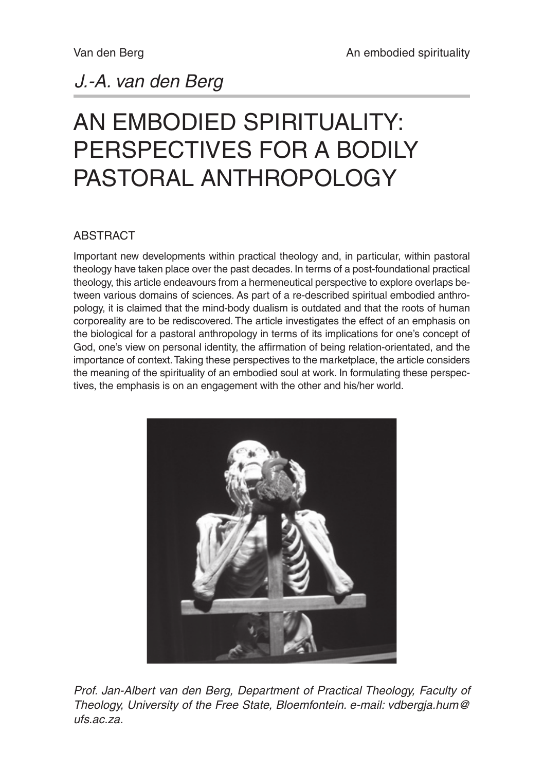## *J.-A. van den Berg*

# AN EMBODIED SPIRITUALITY: PERSPECTIVES FOR A BODILY PASTORAL ANTHROPOLOGY

### **ABSTRACT**

Important new developments within practical theology and, in particular, within pastoral theology have taken place over the past decades. In terms of a post-foundational practical theology, this article endeavours from a hermeneutical perspective to explore overlaps between various domains of sciences. As part of a re-described spiritual embodied anthropology, it is claimed that the mind-body dualism is outdated and that the roots of human corporeality are to be rediscovered. The article investigates the effect of an emphasis on the biological for a pastoral anthropology in terms of its implications for one's concept of God, one's view on personal identity, the affirmation of being relation-orientated, and the importance of context. Taking these perspectives to the marketplace, the article considers the meaning of the spirituality of an embodied soul at work. In formulating these perspectives, the emphasis is on an engagement with the other and his/her world.



*Prof. Jan-Albert van den Berg, Department of Practical Theology, Faculty of Theology, University of the Free State, Bloemfontein. e-mail: vdbergja.hum@ ufs.ac.za.*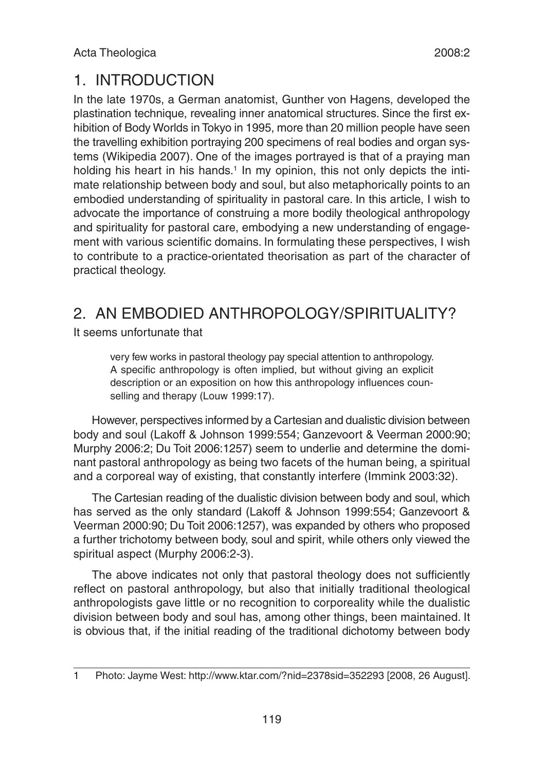### 1. INTRODUCTION

In the late 1970s, a German anatomist, Gunther von Hagens, developed the plastination technique, revealing inner anatomical structures. Since the first exhibition of Body Worlds in Tokyo in 1995, more than 20 million people have seen the travelling exhibition portraying 200 specimens of real bodies and organ systems (Wikipedia 2007). One of the images portrayed is that of a praying man holding his heart in his hands.<sup>1</sup> In my opinion, this not only depicts the intimate relationship between body and soul, but also metaphorically points to an embodied understanding of spirituality in pastoral care. In this article, I wish to advocate the importance of construing a more bodily theological anthropology and spirituality for pastoral care, embodying a new understanding of engagement with various scientific domains. In formulating these perspectives, I wish to contribute to a practice-orientated theorisation as part of the character of practical theology.

## 2. AN EMBODIED ANTHROPOLOGY/SPIRITUALITY?

It seems unfortunate that

very few works in pastoral theology pay special attention to anthropology. A specific anthropology is often implied, but without giving an explicit description or an exposition on how this anthropology influences counselling and therapy (Louw 1999:17).

However, perspectives informed by a Cartesian and dualistic division between body and soul (Lakoff & Johnson 1999:554; Ganzevoort & Veerman 2000:90; Murphy 2006:2; Du Toit 2006:1257) seem to underlie and determine the dominant pastoral anthropology as being two facets of the human being, a spiritual and a corporeal way of existing, that constantly interfere (Immink 2003:32).

The Cartesian reading of the dualistic division between body and soul, which has served as the only standard (Lakoff & Johnson 1999:554; Ganzevoort & Veerman 2000:90; Du Toit 2006:1257), was expanded by others who proposed a further trichotomy between body, soul and spirit, while others only viewed the spiritual aspect (Murphy 2006:2-3).

The above indicates not only that pastoral theology does not sufficiently reflect on pastoral anthropology, but also that initially traditional theological anthropologists gave little or no recognition to corporeality while the dualistic division between body and soul has, among other things, been maintained. It is obvious that, if the initial reading of the traditional dichotomy between body

<sup>1</sup> Photo: Jayme West: http://www.ktar.com/?nid=2378sid=352293 [2008, 26 August].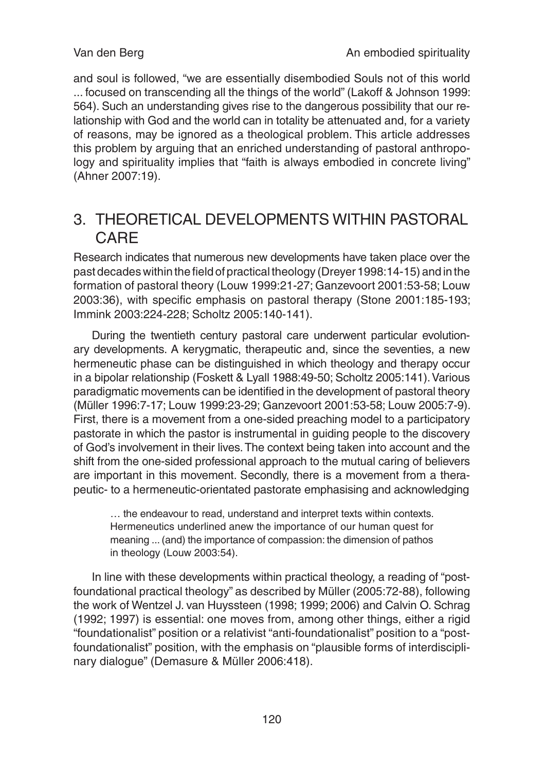and soul is followed, "we are essentially disembodied Souls not of this world ... focused on transcending all the things of the world" (Lakoff & Johnson 1999: 564). Such an understanding gives rise to the dangerous possibility that our relationship with God and the world can in totality be attenuated and, for a variety of reasons, may be ignored as a theological problem. This article addresses this problem by arguing that an enriched understanding of pastoral anthropology and spirituality implies that "faith is always embodied in concrete living" (Ahner 2007:19).

### 3. THEORETICAL DEVELOPMENTS WITHIN PASTORAL CARE

Research indicates that numerous new developments have taken place over the past decades within the field of practical theology (Dreyer 1998:14-15) and in the formation of pastoral theory (Louw 1999:21-27; Ganzevoort 2001:53-58; Louw 2003:36), with specific emphasis on pastoral therapy (Stone 2001:185-193; Immink 2003:224-228; Scholtz 2005:140-141).

During the twentieth century pastoral care underwent particular evolutionary developments. A kerygmatic, therapeutic and, since the seventies, a new hermeneutic phase can be distinguished in which theology and therapy occur in a bipolar relationship (Foskett & Lyall 1988:49-50; Scholtz 2005:141). Various paradigmatic movements can be identified in the development of pastoral theory (Müller 1996:7-17; Louw 1999:23-29; Ganzevoort 2001:53-58; Louw 2005:7-9). First, there is a movement from a one-sided preaching model to a participatory pastorate in which the pastor is instrumental in guiding people to the discovery of God's involvement in their lives. The context being taken into account and the shift from the one-sided professional approach to the mutual caring of believers are important in this movement. Secondly, there is a movement from a therapeutic- to a hermeneutic-orientated pastorate emphasising and acknowledging

… the endeavour to read, understand and interpret texts within contexts. Hermeneutics underlined anew the importance of our human quest for meaning ... (and) the importance of compassion: the dimension of pathos in theology (Louw 2003:54).

In line with these developments within practical theology, a reading of "postfoundational practical theology" as described by Müller (2005:72-88), following the work of Wentzel J. van Huyssteen (1998; 1999; 2006) and Calvin O. Schrag (1992; 1997) is essential: one moves from, among other things, either a rigid "foundationalist" position or a relativist "anti-foundationalist" position to a "postfoundationalist" position, with the emphasis on "plausible forms of interdisciplinary dialogue" (Demasure & Müller 2006:418).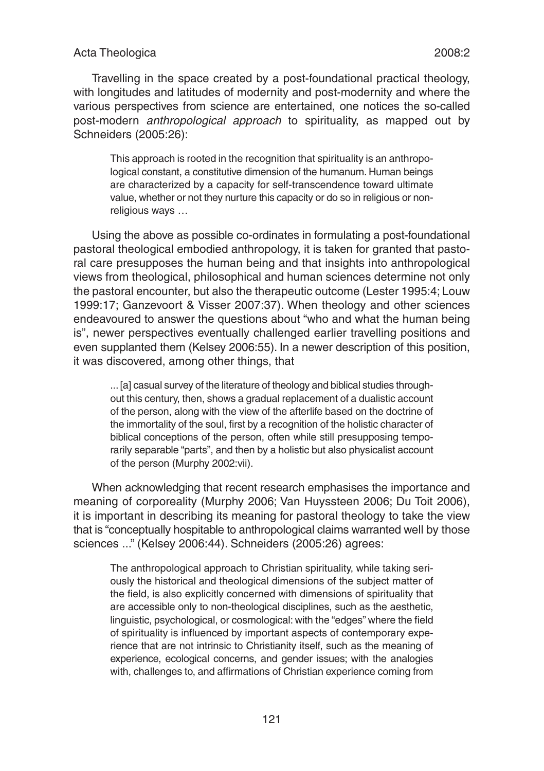#### Acta Theologica 2008:2

Travelling in the space created by a post-foundational practical theology, with longitudes and latitudes of modernity and post-modernity and where the various perspectives from science are entertained, one notices the so-called post-modern *anthropological approach* to spirituality, as mapped out by Schneiders (2005:26):

This approach is rooted in the recognition that spirituality is an anthropological constant, a constitutive dimension of the humanum. Human beings are characterized by a capacity for self-transcendence toward ultimate value, whether or not they nurture this capacity or do so in religious or nonreligious ways …

Using the above as possible co-ordinates in formulating a post-foundational pastoral theological embodied anthropology, it is taken for granted that pastoral care presupposes the human being and that insights into anthropological views from theological, philosophical and human sciences determine not only the pastoral encounter, but also the therapeutic outcome (Lester 1995:4; Louw 1999:17; Ganzevoort & Visser 2007:37). When theology and other sciences endeavoured to answer the questions about "who and what the human being is", newer perspectives eventually challenged earlier travelling positions and even supplanted them (Kelsey 2006:55). In a newer description of this position, it was discovered, among other things, that

... [a] casual survey of the literature of theology and biblical studies throughout this century, then, shows a gradual replacement of a dualistic account of the person, along with the view of the afterlife based on the doctrine of the immortality of the soul, first by a recognition of the holistic character of biblical conceptions of the person, often while still presupposing temporarily separable "parts", and then by a holistic but also physicalist account of the person (Murphy 2002:vii).

When acknowledging that recent research emphasises the importance and meaning of corporeality (Murphy 2006; Van Huyssteen 2006; Du Toit 2006), it is important in describing its meaning for pastoral theology to take the view that is "conceptually hospitable to anthropological claims warranted well by those sciences ..." (Kelsey 2006:44). Schneiders (2005:26) agrees:

The anthropological approach to Christian spirituality, while taking seriously the historical and theological dimensions of the subject matter of the field, is also explicitly concerned with dimensions of spirituality that are accessible only to non-theological disciplines, such as the aesthetic, linguistic, psychological, or cosmological: with the "edges" where the field of spirituality is influenced by important aspects of contemporary experience that are not intrinsic to Christianity itself, such as the meaning of experience, ecological concerns, and gender issues; with the analogies with, challenges to, and affirmations of Christian experience coming from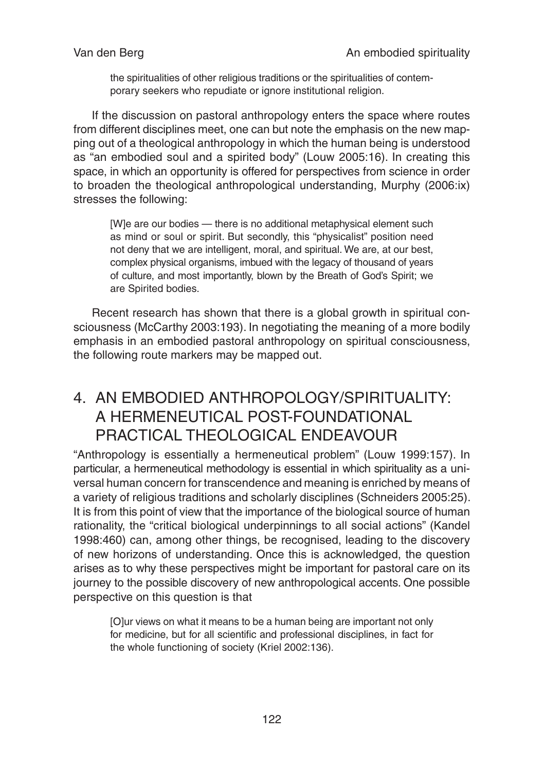the spiritualities of other religious traditions or the spiritualities of contemporary seekers who repudiate or ignore institutional religion.

If the discussion on pastoral anthropology enters the space where routes from different disciplines meet, one can but note the emphasis on the new mapping out of a theological anthropology in which the human being is understood as "an embodied soul and a spirited body" (Louw 2005:16). In creating this space, in which an opportunity is offered for perspectives from science in order to broaden the theological anthropological understanding, Murphy (2006:ix) stresses the following:

[W]e are our bodies — there is no additional metaphysical element such as mind or soul or spirit. But secondly, this "physicalist" position need not deny that we are intelligent, moral, and spiritual. We are, at our best, complex physical organisms, imbued with the legacy of thousand of years of culture, and most importantly, blown by the Breath of God's Spirit; we are Spirited bodies.

Recent research has shown that there is a global growth in spiritual consciousness (McCarthy 2003:193). In negotiating the meaning of a more bodily emphasis in an embodied pastoral anthropology on spiritual consciousness, the following route markers may be mapped out.

### 4. AN EMBODIED ANTHROPOLOGY/SPIRITUALITY: A HERMENEUTICAL POST-FOUNDATIONAL PRACTICAL THEOLOGICAL ENDEAVOUR

"Anthropology is essentially a hermeneutical problem" (Louw 1999:157). In particular, a hermeneutical methodology is essential in which spirituality as a universal human concern for transcendence and meaning is enriched by means of a variety of religious traditions and scholarly disciplines (Schneiders 2005:25). It is from this point of view that the importance of the biological source of human rationality, the "critical biological underpinnings to all social actions" (Kandel 1998:460) can, among other things, be recognised, leading to the discovery of new horizons of understanding. Once this is acknowledged, the question arises as to why these perspectives might be important for pastoral care on its journey to the possible discovery of new anthropological accents. One possible perspective on this question is that

[O]ur views on what it means to be a human being are important not only for medicine, but for all scientific and professional disciplines, in fact for the whole functioning of society (Kriel 2002:136).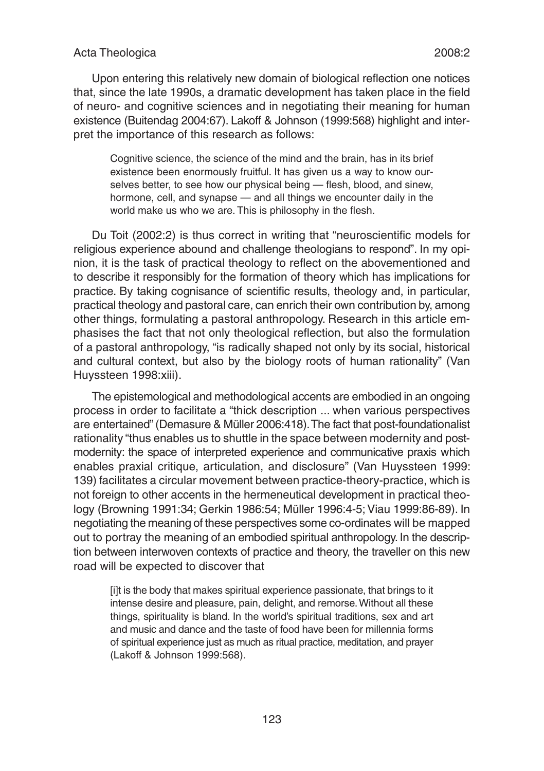#### Acta Theologica 2008:2

Upon entering this relatively new domain of biological reflection one notices that, since the late 1990s, a dramatic development has taken place in the field of neuro- and cognitive sciences and in negotiating their meaning for human existence (Buitendag 2004:67). Lakoff & Johnson (1999:568) highlight and interpret the importance of this research as follows:

Cognitive science, the science of the mind and the brain, has in its brief existence been enormously fruitful. It has given us a way to know ourselves better, to see how our physical being — flesh, blood, and sinew, hormone, cell, and synapse — and all things we encounter daily in the world make us who we are. This is philosophy in the flesh.

Du Toit (2002:2) is thus correct in writing that "neuroscientific models for religious experience abound and challenge theologians to respond". In my opinion, it is the task of practical theology to reflect on the abovementioned and to describe it responsibly for the formation of theory which has implications for practice. By taking cognisance of scientific results, theology and, in particular, practical theology and pastoral care, can enrich their own contribution by, among other things, formulating a pastoral anthropology. Research in this article emphasises the fact that not only theological reflection, but also the formulation of a pastoral anthropology, "is radically shaped not only by its social, historical and cultural context, but also by the biology roots of human rationality" (Van Huyssteen 1998:xiii).

The epistemological and methodological accents are embodied in an ongoing process in order to facilitate a "thick description ... when various perspectives are entertained" (Demasure & Müller 2006:418). The fact that post-foundationalist rationality "thus enables us to shuttle in the space between modernity and postmodernity: the space of interpreted experience and communicative praxis which enables praxial critique, articulation, and disclosure" (Van Huyssteen 1999: 139) facilitates a circular movement between practice-theory-practice, which is not foreign to other accents in the hermeneutical development in practical theology (Browning 1991:34; Gerkin 1986:54; Müller 1996:4-5; Viau 1999:86-89). In negotiating the meaning of these perspectives some co-ordinates will be mapped out to portray the meaning of an embodied spiritual anthropology. In the description between interwoven contexts of practice and theory, the traveller on this new road will be expected to discover that

[i]t is the body that makes spiritual experience passionate, that brings to it intense desire and pleasure, pain, delight, and remorse. Without all these things, spirituality is bland. In the world's spiritual traditions, sex and art and music and dance and the taste of food have been for millennia forms of spiritual experience just as much as ritual practice, meditation, and prayer (Lakoff & Johnson 1999:568).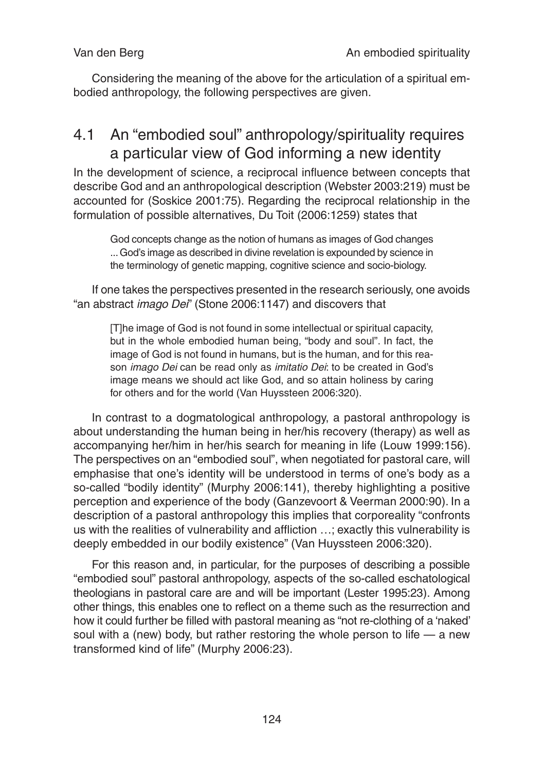Considering the meaning of the above for the articulation of a spiritual embodied anthropology, the following perspectives are given.

### 4.1 An "embodied soul" anthropology/spirituality requires a particular view of God informing a new identity

In the development of science, a reciprocal influence between concepts that describe God and an anthropological description (Webster 2003:219) must be accounted for (Soskice 2001:75). Regarding the reciprocal relationship in the formulation of possible alternatives, Du Toit (2006:1259) states that

God concepts change as the notion of humans as images of God changes ... God's image as described in divine revelation is expounded by science in the terminology of genetic mapping, cognitive science and socio-biology.

If one takes the perspectives presented in the research seriously, one avoids "an abstract *imago Dei*" (Stone 2006:1147) and discovers that

[T]he image of God is not found in some intellectual or spiritual capacity, but in the whole embodied human being, "body and soul". In fact, the image of God is not found in humans, but is the human, and for this reason *imago Dei* can be read only as *imitatio Dei*: to be created in God's image means we should act like God, and so attain holiness by caring for others and for the world (Van Huyssteen 2006:320).

In contrast to a dogmatological anthropology, a pastoral anthropology is about understanding the human being in her/his recovery (therapy) as well as accompanying her/him in her/his search for meaning in life (Louw 1999:156). The perspectives on an "embodied soul", when negotiated for pastoral care, will emphasise that one's identity will be understood in terms of one's body as a so-called "bodily identity" (Murphy 2006:141), thereby highlighting a positive perception and experience of the body (Ganzevoort & Veerman 2000:90). In a description of a pastoral anthropology this implies that corporeality "confronts us with the realities of vulnerability and affliction …; exactly this vulnerability is deeply embedded in our bodily existence" (Van Huyssteen 2006:320).

For this reason and, in particular, for the purposes of describing a possible "embodied soul" pastoral anthropology, aspects of the so-called eschatological theologians in pastoral care are and will be important (Lester 1995:23). Among other things, this enables one to reflect on a theme such as the resurrection and how it could further be filled with pastoral meaning as "not re-clothing of a 'naked' soul with a (new) body, but rather restoring the whole person to life  $-$  a new transformed kind of life" (Murphy 2006:23).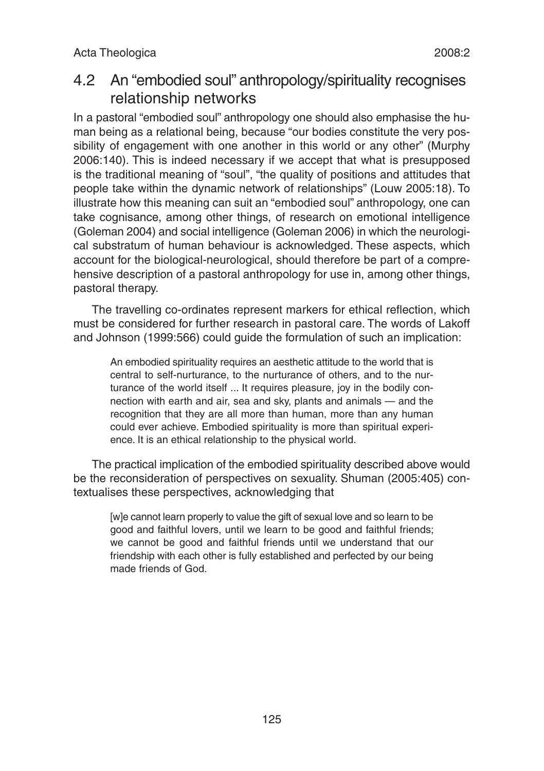### 4.2 An "embodied soul" anthropology/spirituality recognises relationship networks

In a pastoral "embodied soul" anthropology one should also emphasise the human being as a relational being, because "our bodies constitute the very possibility of engagement with one another in this world or any other" (Murphy 2006:140). This is indeed necessary if we accept that what is presupposed is the traditional meaning of "soul", "the quality of positions and attitudes that people take within the dynamic network of relationships" (Louw 2005:18). To illustrate how this meaning can suit an "embodied soul" anthropology, one can take cognisance, among other things, of research on emotional intelligence (Goleman 2004) and social intelligence (Goleman 2006) in which the neurological substratum of human behaviour is acknowledged. These aspects, which account for the biological-neurological, should therefore be part of a comprehensive description of a pastoral anthropology for use in, among other things, pastoral therapy.

The travelling co-ordinates represent markers for ethical reflection, which must be considered for further research in pastoral care. The words of Lakoff and Johnson (1999:566) could guide the formulation of such an implication:

An embodied spirituality requires an aesthetic attitude to the world that is central to self-nurturance, to the nurturance of others, and to the nurturance of the world itself ... It requires pleasure, joy in the bodily connection with earth and air, sea and sky, plants and animals — and the recognition that they are all more than human, more than any human could ever achieve. Embodied spirituality is more than spiritual experience. It is an ethical relationship to the physical world.

The practical implication of the embodied spirituality described above would be the reconsideration of perspectives on sexuality. Shuman (2005:405) contextualises these perspectives, acknowledging that

[w]e cannot learn properly to value the gift of sexual love and so learn to be good and faithful lovers, until we learn to be good and faithful friends; we cannot be good and faithful friends until we understand that our friendship with each other is fully established and perfected by our being made friends of God.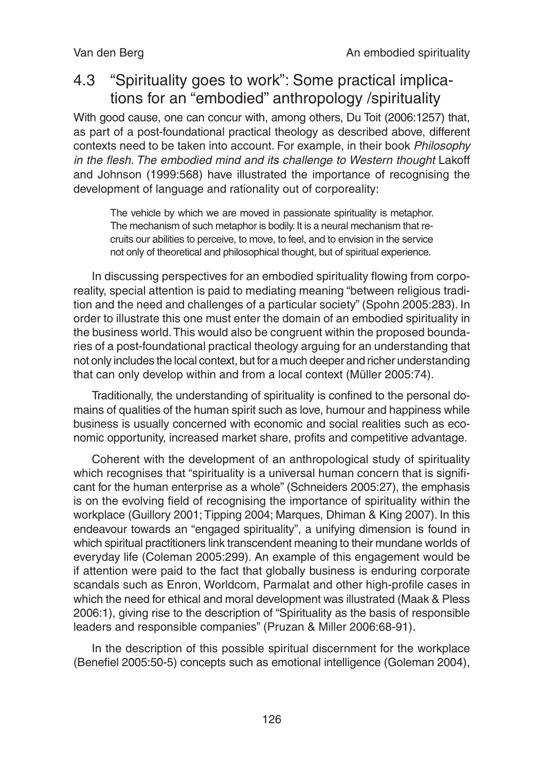### 4.3 "Spirituality goes to work": Some practical implications for an "embodied" anthropology /spirituality

With good cause, one can concur with, among others, Du Toit (2006:1257) that, as part of a post-foundational practical theology as described above, different contexts need to be taken into account. For example, in their book *Philosophy in the flesh. The embodied mind and its challenge to Western thought* Lakoff and Johnson (1999:568) have illustrated the importance of recognising the development of language and rationality out of corporeality:

The vehicle by which we are moved in passionate spirituality is metaphor. The mechanism of such metaphor is bodily. It is a neural mechanism that recruits our abilities to perceive, to move, to feel, and to envision in the service not only of theoretical and philosophical thought, but of spiritual experience.

In discussing perspectives for an embodied spirituality flowing from corporeality, special attention is paid to mediating meaning "between religious tradition and the need and challenges of a particular society" (Spohn 2005:283). In order to illustrate this one must enter the domain of an embodied spirituality in the business world. This would also be congruent within the proposed boundaries of a post-foundational practical theology arguing for an understanding that not only includes the local context, but for a much deeper and richer understanding that can only develop within and from a local context (Müller 2005:74).

Traditionally, the understanding of spirituality is confined to the personal domains of qualities of the human spirit such as love, humour and happiness while business is usually concerned with economic and social realities such as economic opportunity, increased market share, profits and competitive advantage.

Coherent with the development of an anthropological study of spirituality which recognises that "spirituality is a universal human concern that is significant for the human enterprise as a whole" (Schneiders 2005:27), the emphasis is on the evolving field of recognising the importance of spirituality within the workplace (Guillory 2001; Tipping 2004; Marques, Dhiman & King 2007). In this endeavour towards an "engaged spirituality", a unifying dimension is found in which spiritual practitioners link transcendent meaning to their mundane worlds of everyday life (Coleman 2005:299). An example of this engagement would be if attention were paid to the fact that globally business is enduring corporate scandals such as Enron, Worldcom, Parmalat and other high-profile cases in which the need for ethical and moral development was illustrated (Maak & Pless 2006:1), giving rise to the description of "Spirituality as the basis of responsible leaders and responsible companies" (Pruzan & Miller 2006:68-91).

In the description of this possible spiritual discernment for the workplace (Benefiel 2005:50-5) concepts such as emotional intelligence (Goleman 2004),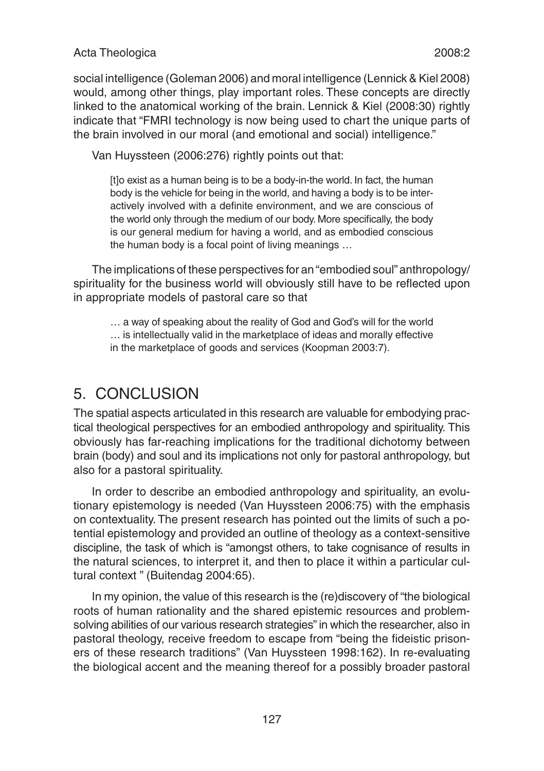social intelligence (Goleman 2006) and moral intelligence (Lennick & Kiel 2008) would, among other things, play important roles. These concepts are directly linked to the anatomical working of the brain. Lennick & Kiel (2008:30) rightly indicate that "FMRI technology is now being used to chart the unique parts of the brain involved in our moral (and emotional and social) intelligence."

Van Huyssteen (2006:276) rightly points out that:

[t]o exist as a human being is to be a body-in-the world. In fact, the human body is the vehicle for being in the world, and having a body is to be interactively involved with a definite environment, and we are conscious of the world only through the medium of our body. More specifically, the body is our general medium for having a world, and as embodied conscious the human body is a focal point of living meanings …

The implications of these perspectives for an "embodied soul" anthropology/ spirituality for the business world will obviously still have to be reflected upon in appropriate models of pastoral care so that

… a way of speaking about the reality of God and God's will for the world

… is intellectually valid in the marketplace of ideas and morally effective

in the marketplace of goods and services (Koopman 2003:7).

### 5. CONCLUSION

The spatial aspects articulated in this research are valuable for embodying practical theological perspectives for an embodied anthropology and spirituality. This obviously has far-reaching implications for the traditional dichotomy between brain (body) and soul and its implications not only for pastoral anthropology, but also for a pastoral spirituality.

In order to describe an embodied anthropology and spirituality, an evolutionary epistemology is needed (Van Huyssteen 2006:75) with the emphasis on contextuality. The present research has pointed out the limits of such a potential epistemology and provided an outline of theology as a context-sensitive discipline, the task of which is "amongst others, to take cognisance of results in the natural sciences, to interpret it, and then to place it within a particular cultural context " (Buitendag 2004:65).

In my opinion, the value of this research is the (re)discovery of "the biological roots of human rationality and the shared epistemic resources and problemsolving abilities of our various research strategies" in which the researcher, also in pastoral theology, receive freedom to escape from "being the fideistic prisoners of these research traditions" (Van Huyssteen 1998:162). In re-evaluating the biological accent and the meaning thereof for a possibly broader pastoral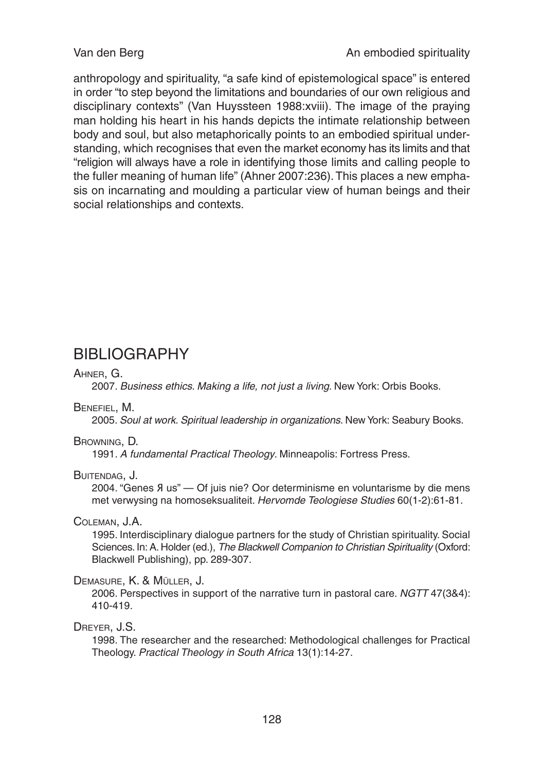anthropology and spirituality, "a safe kind of epistemological space" is entered in order "to step beyond the limitations and boundaries of our own religious and disciplinary contexts" (Van Huyssteen 1988:xviii). The image of the praying man holding his heart in his hands depicts the intimate relationship between body and soul, but also metaphorically points to an embodied spiritual understanding, which recognises that even the market economy has its limits and that "religion will always have a role in identifying those limits and calling people to the fuller meaning of human life" (Ahner 2007:236). This places a new emphasis on incarnating and moulding a particular view of human beings and their social relationships and contexts.

### **BIBLIOGRAPHY**

#### Ahner, G.

2007. *Business ethics. Making a life, not just a living*. New York: Orbis Books.

#### Benefiel, M.

2005. *Soul at work. Spiritual leadership in organizations*. New York: Seabury Books.

#### Browning, D.

1991. *A fundamental Practical Theology*. Minneapolis: Fortress Press.

#### Buitendag, J.

2004. "Genes Я us" — Of juis nie? Oor determinisme en voluntarisme by die mens met verwysing na homoseksualiteit. *Hervomde Teologiese Studies* 60(1-2):61-81.

#### Coleman, J.A.

1995. Interdisciplinary dialogue partners for the study of Christian spirituality. Social Sciences. In: A. Holder (ed.), *The Blackwell Companion to Christian Spirituality* (Oxford: Blackwell Publishing), pp. 289-307.

#### Demasure, K. & Müller, J.

2006. Perspectives in support of the narrative turn in pastoral care. *NGTT* 47(3&4): 410-419.

#### Dreyer, J.S.

1998. The researcher and the researched: Methodological challenges for Practical Theology. *Practical Theology in South Africa* 13(1):14-27.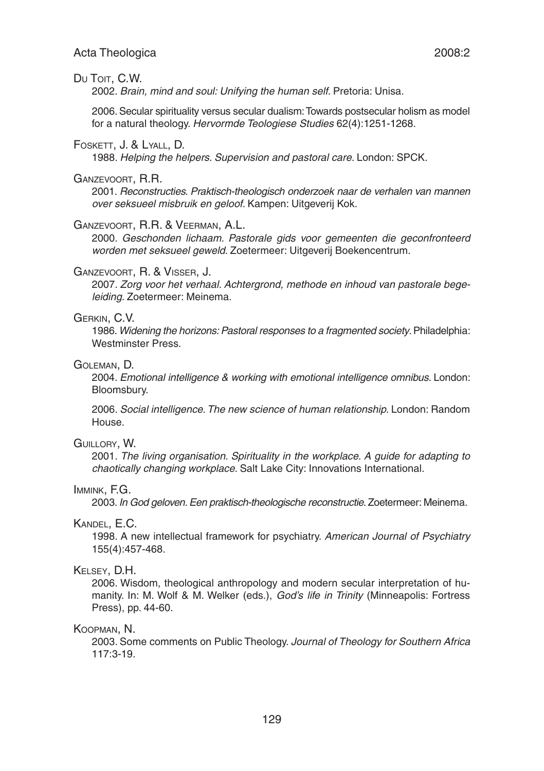Du Toit, C.W.

2002. *Brain, mind and soul: Unifying the human self*. Pretoria: Unisa.

2006. Secular spirituality versus secular dualism: Towards postsecular holism as model for a natural theology. *Hervormde Teologiese Studies* 62(4):1251-1268.

#### Foskett, J. & Lyall, D.

1988. *Helping the helpers. Supervision and pastoral care*. London: SPCK.

#### Ganzevoort, R.R.

2001. *Reconstructies. Praktisch-theologisch onderzoek naar de verhalen van mannen over seksueel misbruik en geloof*. Kampen: Uitgeverij Kok.

#### Ganzevoort, R.R. & Veerman, A.L.

2000. *Geschonden lichaam. Pastorale gids voor gemeenten die geconfronteerd worden met seksueel geweld*. Zoetermeer: Uitgeverij Boekencentrum.

#### Ganzevoort, R. & Visser, J.

2007. *Zorg voor het verhaal. Achtergrond, methode en inhoud van pastorale begeleiding*. Zoetermeer: Meinema.

#### Gerkin, C.V.

1986. *Widening the horizons: Pastoral responses to a fragmented society*. Philadelphia: Westminster Press.

#### Goleman, D.

2004. *Emotional intelligence & working with emotional intelligence omnibus*. London: Bloomsbury.

2006. *Social intelligence. The new science of human relationship*. London: Random House.

#### Guillory, W.

2001. *The living organisation. Spirituality in the workplace. A guide for adapting to chaotically changing workplace*. Salt Lake City: Innovations International.

#### Immink, F.G.

2003. *In God geloven. Een praktisch-theologische reconstructie*. Zoetermeer: Meinema.

#### Kandel, E.C.

1998. A new intellectual framework for psychiatry. *American Journal of Psychiatry* 155(4):457-468.

#### Kelsey, D.H.

2006. Wisdom, theological anthropology and modern secular interpretation of humanity. In: M. Wolf & M. Welker (eds.), *God's life in Trinity* (Minneapolis: Fortress Press), pp. 44-60.

#### Koopman, N.

2003. Some comments on Public Theology. *Journal of Theology for Southern Africa* 117:3-19.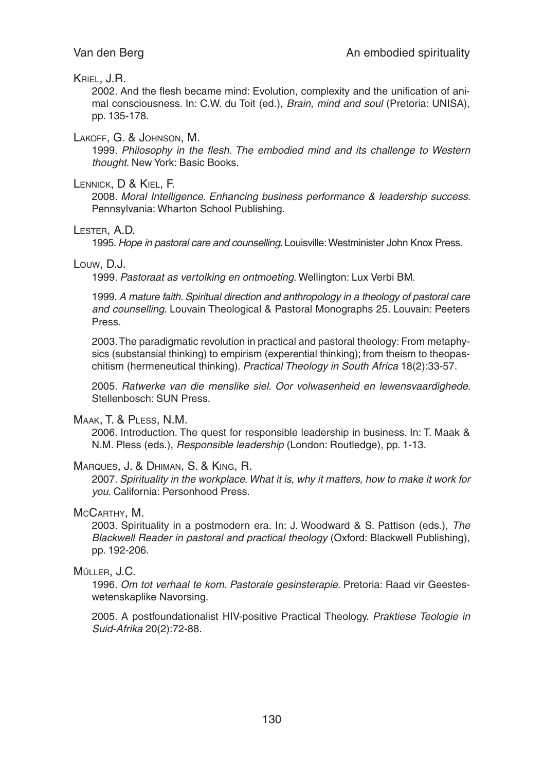#### Kriel, J.R.

2002. And the flesh became mind: Evolution, complexity and the unification of animal consciousness. In: C.W. du Toit (ed.), *Brain, mind and soul* (Pretoria: UNISA), pp. 135-178.

#### Lakoff, G. & Johnson, M.

1999. *Philosophy in the flesh. The embodied mind and its challenge to Western thought*. New York: Basic Books.

#### Lennick, D & Kiel, F.

2008. *Moral Intelligence. Enhancing business performance & leadership success*. Pennsylvania: Wharton School Publishing.

#### Lester, A.D.

1995. *Hope in pastoral care and counselling*. Louisville: Westminister John Knox Press.

#### Louw, D.J.

1999. *Pastoraat as vertolking en ontmoeting*. Wellington: Lux Verbi BM.

1999. *A mature faith. Spiritual direction and anthropology in a theology of pastoral care and counselling.* Louvain Theological & Pastoral Monographs 25. Louvain: Peeters Press.

2003. The paradigmatic revolution in practical and pastoral theology: From metaphysics (substansial thinking) to empirism (experential thinking); from theism to theopaschitism (hermeneutical thinking). *Practical Theology in South Africa* 18(2):33-57.

2005. *Ratwerke van die menslike siel. Oor volwasenheid en lewensvaardighede*. Stellenbosch: SUN Press.

#### Maak, T. & Pless, N.M.

2006. Introduction. The quest for responsible leadership in business. In: T. Maak & N.M. Pless (eds.), *Responsible leadership* (London: Routledge), pp. 1-13.

#### Marques, J. & Dhiman, S. & King, R.

2007. *Spirituality in the workplace. What it is, why it matters, how to make it work for you*. California: Personhood Press.

#### McCARTHY, M.

2003. Spirituality in a postmodern era. In: J. Woodward & S. Pattison (eds.), *The Blackwell Reader in pastoral and practical theology* (Oxford: Blackwell Publishing), pp. 192-206.

#### Müller, J.C.

1996. *Om tot verhaal te kom. Pastorale gesinsterapie*. Pretoria: Raad vir Geesteswetenskaplike Navorsing.

2005. A postfoundationalist HIV-positive Practical Theology. *Praktiese Teologie in Suid-Afrika* 20(2):72-88.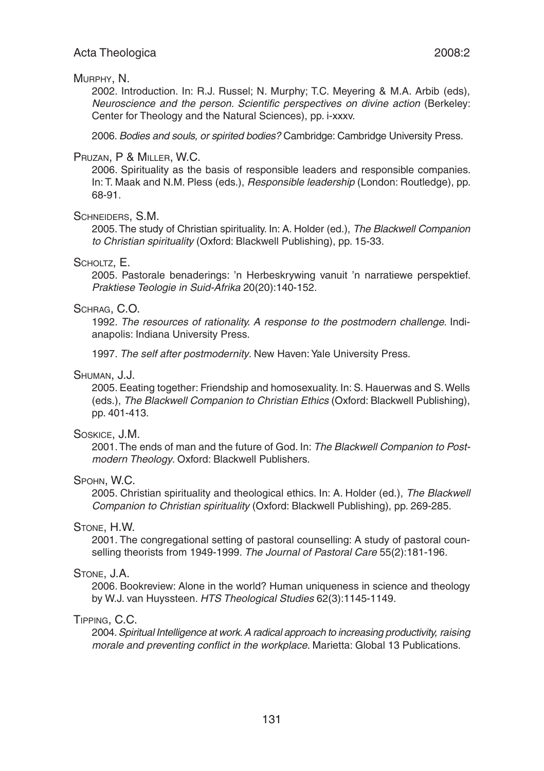#### Murphy, N.

2002. Introduction. In: R.J. Russel; N. Murphy; T.C. Meyering & M.A. Arbib (eds), *Neuroscience and the person. Scientific perspectives on divine action* (Berkeley: Center for Theology and the Natural Sciences), pp. i-xxxv.

2006. *Bodies and souls, or spirited bodies?* Cambridge: Cambridge University Press.

#### Pruzan, P & Miller, W.C.

2006. Spirituality as the basis of responsible leaders and responsible companies. In: T. Maak and N.M. Pless (eds.), *Responsible leadership* (London: Routledge), pp. 68-91.

#### Schneiders, S.M.

2005. The study of Christian spirituality. In: A. Holder (ed.), *The Blackwell Companion to Christian spirituality* (Oxford: Blackwell Publishing), pp. 15-33.

#### SCHOLTZ, E.

2005. Pastorale benaderings: 'n Herbeskrywing vanuit 'n narratiewe perspektief. *Praktiese Teologie in Suid-Afrika* 20(20):140-152.

#### Schrag, C.O.

1992. *The resources of rationality. A response to the postmodern challenge*. Indianapolis: Indiana University Press.

1997. *The self after postmodernity*. New Haven: Yale University Press.

#### Shuman, J.J.

2005. Eeating together: Friendship and homosexuality. In: S. Hauerwas and S. Wells (eds.), *The Blackwell Companion to Christian Ethics* (Oxford: Blackwell Publishing), pp. 401-413.

#### Soskice, J.M.

2001. The ends of man and the future of God. In: *The Blackwell Companion to Postmodern Theology*. Oxford: Blackwell Publishers.

#### Spohn, W.C.

2005. Christian spirituality and theological ethics. In: A. Holder (ed.), *The Blackwell Companion to Christian spirituality* (Oxford: Blackwell Publishing), pp. 269-285.

#### Stone, H.W.

2001. The congregational setting of pastoral counselling: A study of pastoral counselling theorists from 1949-1999. *The Journal of Pastoral Care* 55(2):181-196.

#### Stone, J.A.

2006. Bookreview: Alone in the world? Human uniqueness in science and theology by W.J. van Huyssteen. *HTS Theological Studies* 62(3):1145-1149.

### Tipping, C.C.

2004. *Spiritual Intelligence at work. A radical approach to increasing productivity, raising morale and preventing conflict in the workplace*. Marietta: Global 13 Publications.